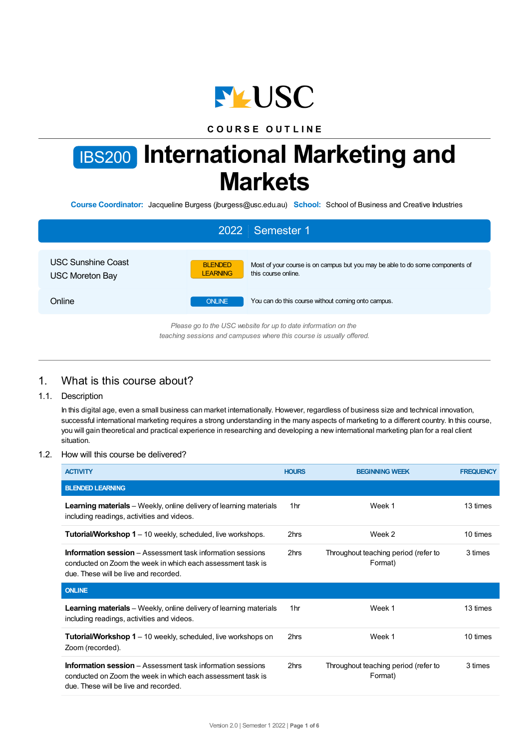

# **C O U R S E O U T L I N E**

# IBS200 **International Marketing and Markets**

**Course Coordinator:** Jacqueline Burgess (jburgess@usc.edu.au) **School:** School of Business and Creative Industries

|                                                     | 2022 Semester 1                                                                                                                           |
|-----------------------------------------------------|-------------------------------------------------------------------------------------------------------------------------------------------|
| <b>USC Sunshine Coast</b><br><b>USC Moreton Bay</b> | Most of your course is on campus but you may be able to do some components of<br><b>BLENDED</b><br>this course online.<br><b>LEARNING</b> |
| Online                                              | <b>ONLINE</b><br>You can do this course without coming onto campus.                                                                       |
|                                                     | Please go to the USC website for up to date information on the<br>teaching sessions and campuses where this course is usually offered.    |

# 1. What is this course about?

## 1.1. Description

In this digital age, even a small business can market internationally. However, regardless of business size and technical innovation, successful international marketing requires a strong understanding in the many aspects of marketing to a different country. In this course, you will gain theoretical and practical experience in researching and developing a new international marketing plan for a real client situation.

## 1.2. How will this course be delivered?

| <b>ACTIVITY</b>                                                                                                                                                           | <b>HOURS</b>    | <b>BEGINNING WEEK</b>                           | <b>FREQUENCY</b> |
|---------------------------------------------------------------------------------------------------------------------------------------------------------------------------|-----------------|-------------------------------------------------|------------------|
| <b>BLENDED LEARNING</b>                                                                                                                                                   |                 |                                                 |                  |
| <b>Learning materials</b> – Weekly, online delivery of learning materials<br>including readings, activities and videos.                                                   | 1 <sub>hr</sub> | Week 1                                          | 13 times         |
| <b>Tutorial/Workshop 1</b> – 10 weekly, scheduled, live workshops.                                                                                                        | 2hrs            | Week 2                                          | 10 times         |
| <b>Information session</b> – Assessment task information sessions<br>conducted on Zoom the week in which each assessment task is<br>due. These will be live and recorded. | 2hrs            | Throughout teaching period (refer to<br>Format) | 3 times          |
| <b>ONLINE</b>                                                                                                                                                             |                 |                                                 |                  |
| <b>Learning materials</b> – Weekly, online delivery of learning materials<br>including readings, activities and videos.                                                   | 1 <sub>hr</sub> | Week 1                                          | 13 times         |
| <b>Tutorial/Workshop 1</b> – 10 weekly, scheduled, live workshops on<br>Zoom (recorded).                                                                                  | 2hrs            | Week 1                                          | 10 times         |
| <b>Information session</b> – Assessment task information sessions<br>conducted on Zoom the week in which each assessment task is<br>due. These will be live and recorded. | 2hrs            | Throughout teaching period (refer to<br>Format) | 3 times          |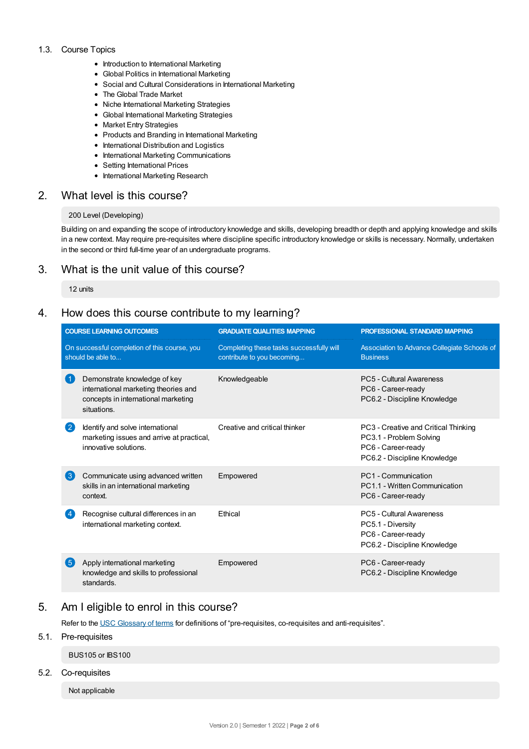#### 1.3. Course Topics

- Introduction to International Marketing
- Global Politics in International Marketing
- Social and Cultural Considerations in International Marketing
- The Global Trade Market
- Niche International Marketing Strategies
- Global International Marketing Strategies
- Market Entry Strategies
- Products and Branding in International Marketing
- International Distribution and Logistics
- International Marketing Communications
- Setting International Prices
- International Marketing Research

# 2. What level is this course?

## 200 Level (Developing)

Building on and expanding the scope of introductory knowledge and skills, developing breadth or depth and applying knowledge and skills in a new context. May require pre-requisites where discipline specific introductory knowledge or skills is necessary. Normally, undertaken in the second or third full-time year of an undergraduate programs.

# 3. What is the unit value of this course?

#### 12 units

# 4. How does this course contribute to my learning?

|                                                                   | <b>COURSE LEARNING OUTCOMES</b>                                                                                            | <b>GRADUATE QUALITIES MAPPING</b>                                      | <b>PROFESSIONAL STANDARD MAPPING</b>                                                                                  |  |
|-------------------------------------------------------------------|----------------------------------------------------------------------------------------------------------------------------|------------------------------------------------------------------------|-----------------------------------------------------------------------------------------------------------------------|--|
| On successful completion of this course, you<br>should be able to |                                                                                                                            | Completing these tasks successfully will<br>contribute to you becoming | Association to Advance Collegiate Schools of<br><b>Business</b>                                                       |  |
|                                                                   | Demonstrate knowledge of key<br>international marketing theories and<br>concepts in international marketing<br>situations. | Knowledgeable                                                          | PC5 - Cultural Awareness<br>PC6 - Career-ready<br>PC6.2 - Discipline Knowledge                                        |  |
| $\mathbf{2}$                                                      | Identify and solve international<br>marketing issues and arrive at practical,<br>innovative solutions.                     | Creative and critical thinker                                          | PC3 - Creative and Critical Thinking<br>PC3.1 - Problem Solving<br>PC6 - Career-ready<br>PC6.2 - Discipline Knowledge |  |
| 3                                                                 | Communicate using advanced written<br>skills in an international marketing<br>context.                                     | Empowered                                                              | PC1 - Communication<br>PC1.1 - Written Communication<br>PC6 - Career-ready                                            |  |
|                                                                   | Recognise cultural differences in an<br>international marketing context.                                                   | Ethical                                                                | PC5 - Cultural Awareness<br>PC5.1 - Diversity<br>PC6 - Career-ready<br>PC6.2 - Discipline Knowledge                   |  |
| (5)                                                               | Apply international marketing<br>knowledge and skills to professional<br>standards.                                        | Empowered                                                              | PC6 - Career-ready<br>PC6.2 - Discipline Knowledge                                                                    |  |

# 5. Am Ieligible to enrol in this course?

Refer to the USC [Glossary](https://www.usc.edu.au/about/policies-and-procedures/glossary-of-terms-for-policy-and-procedures) of terms for definitions of "pre-requisites, co-requisites and anti-requisites".

## 5.1. Pre-requisites

BUS105 or IBS100

## 5.2. Co-requisites

Not applicable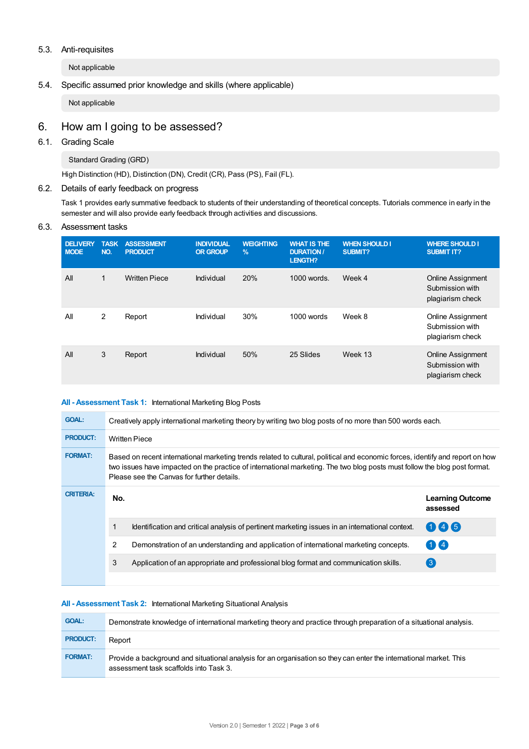## 5.3. Anti-requisites

Not applicable

## 5.4. Specific assumed prior knowledge and skills (where applicable)

Not applicable

# 6. How am Igoing to be assessed?

## 6.1. Grading Scale

Standard Grading (GRD)

High Distinction (HD), Distinction (DN), Credit (CR), Pass (PS), Fail (FL).

## 6.2. Details of early feedback on progress

Task 1 provides early summative feedback to students of their understanding of theoretical concepts. Tutorials commence in early in the semester and will also provide early feedback through activities and discussions.

#### 6.3. Assessment tasks

| <b>DELIVERY</b><br><b>MODE</b> | <b>TASK</b><br>NO. | <b>ASSESSMENT</b><br><b>PRODUCT</b> | <b>INDIVIDUAL</b><br><b>OR GROUP</b> | <b>WEIGHTING</b><br>$\frac{9}{6}$ | <b>WHAT IS THE</b><br><b>DURATION /</b><br><b>LENGTH?</b> | <b>WHEN SHOULD I</b><br><b>SUBMIT?</b> | <b>WHERE SHOULD I</b><br><b>SUBMIT IT?</b>                      |
|--------------------------------|--------------------|-------------------------------------|--------------------------------------|-----------------------------------|-----------------------------------------------------------|----------------------------------------|-----------------------------------------------------------------|
| All                            | 1                  | <b>Written Piece</b>                | Individual                           | 20%                               | 1000 words.                                               | Week 4                                 | <b>Online Assignment</b><br>Submission with<br>plagiarism check |
| All                            | 2                  | Report                              | Individual                           | 30%                               | 1000 words                                                | Week 8                                 | <b>Online Assignment</b><br>Submission with<br>plagiarism check |
| All                            | 3                  | Report                              | Individual                           | 50%                               | 25 Slides                                                 | Week 13                                | <b>Online Assignment</b><br>Submission with<br>plagiarism check |

#### **All - Assessment Task 1:** International Marketing Blog Posts

| <b>GOAL:</b>     | Creatively apply international marketing theory by writing two blog posts of no more than 500 words each.                                                                                                                                                                                                |                                                                                                 |                                     |  |  |
|------------------|----------------------------------------------------------------------------------------------------------------------------------------------------------------------------------------------------------------------------------------------------------------------------------------------------------|-------------------------------------------------------------------------------------------------|-------------------------------------|--|--|
| <b>PRODUCT:</b>  | <b>Written Piece</b>                                                                                                                                                                                                                                                                                     |                                                                                                 |                                     |  |  |
| <b>FORMAT:</b>   | Based on recent international marketing trends related to cultural, political and economic forces, identify and report on how<br>two issues have impacted on the practice of international marketing. The two blog posts must follow the blog post format.<br>Please see the Canvas for further details. |                                                                                                 |                                     |  |  |
| <b>CRITERIA:</b> | No.                                                                                                                                                                                                                                                                                                      |                                                                                                 | <b>Learning Outcome</b><br>assessed |  |  |
|                  |                                                                                                                                                                                                                                                                                                          | Identification and critical analysis of pertinent marketing issues in an international context. | $\mathbf 4$ $\mathbf 6$             |  |  |
|                  | $\mathcal{P}$                                                                                                                                                                                                                                                                                            | Demonstration of an understanding and application of international marketing concepts.          | $1$ K 4                             |  |  |
|                  | 3                                                                                                                                                                                                                                                                                                        | Application of an appropriate and professional blog format and communication skills.            | $\left(3\right)$                    |  |  |
|                  |                                                                                                                                                                                                                                                                                                          |                                                                                                 |                                     |  |  |

#### **All - Assessment Task 2:** International Marketing Situational Analysis

| <b>GOAL:</b>    | Demonstrate knowledge of international marketing theory and practice through preparation of a situational analysis.                                          |
|-----------------|--------------------------------------------------------------------------------------------------------------------------------------------------------------|
| <b>PRODUCT:</b> | Report                                                                                                                                                       |
| <b>FORMAT:</b>  | Provide a background and situational analysis for an organisation so they can enter the international market. This<br>assessment task scaffolds into Task 3. |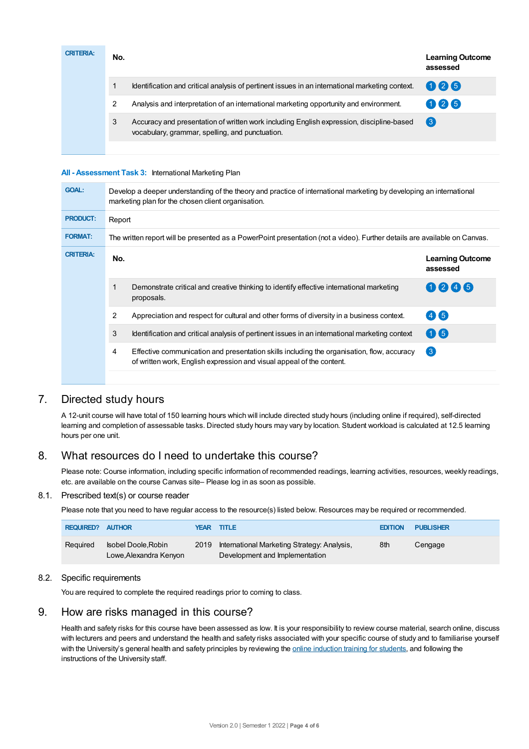| <b>CRITERIA:</b> | No. |                                                                                                                                             | <b>Learning Outcome</b><br>assessed |
|------------------|-----|---------------------------------------------------------------------------------------------------------------------------------------------|-------------------------------------|
|                  |     | Identification and critical analysis of pertinent issues in an international marketing context.                                             | 026                                 |
|                  |     | Analysis and interpretation of an international marketing opportunity and environment.                                                      | 025                                 |
|                  | 3   | Accuracy and presentation of written work including English expression, discipline-based<br>vocabulary, grammar, spelling, and punctuation. | $\left(3\right)$                    |
|                  |     |                                                                                                                                             |                                     |

#### **All - Assessment Task 3:** International Marketing Plan

| <b>GOAL:</b>     | Develop a deeper understanding of the theory and practice of international marketing by developing an international<br>marketing plan for the chosen client organisation. |                                                                                                                                                                     |                                     |  |  |  |  |
|------------------|---------------------------------------------------------------------------------------------------------------------------------------------------------------------------|---------------------------------------------------------------------------------------------------------------------------------------------------------------------|-------------------------------------|--|--|--|--|
| <b>PRODUCT:</b>  | Report                                                                                                                                                                    |                                                                                                                                                                     |                                     |  |  |  |  |
| <b>FORMAT:</b>   |                                                                                                                                                                           | The written report will be presented as a PowerPoint presentation (not a video). Further details are available on Canvas.                                           |                                     |  |  |  |  |
| <b>CRITERIA:</b> | No.                                                                                                                                                                       |                                                                                                                                                                     | <b>Learning Outcome</b><br>assessed |  |  |  |  |
|                  | 1                                                                                                                                                                         | Demonstrate critical and creative thinking to identify effective international marketing<br>proposals.                                                              | 0246                                |  |  |  |  |
|                  | $\overline{2}$                                                                                                                                                            | Appreciation and respect for cultural and other forms of diversity in a business context.                                                                           | (4)(5)                              |  |  |  |  |
|                  | 3                                                                                                                                                                         | Identification and critical analysis of pertinent issues in an international marketing context                                                                      | $\mathbf{\Omega}$ 6                 |  |  |  |  |
|                  | 4                                                                                                                                                                         | Effective communication and presentation skills including the organisation, flow, accuracy<br>of written work, English expression and visual appeal of the content. | $\bullet$                           |  |  |  |  |
|                  |                                                                                                                                                                           |                                                                                                                                                                     |                                     |  |  |  |  |

# 7. Directed study hours

A 12-unit course will have total of 150 learning hours which will include directed study hours (including online if required), self-directed learning and completion of assessable tasks. Directed study hours may vary by location. Student workload is calculated at 12.5 learning hours per one unit.

# 8. What resources do I need to undertake this course?

Please note: Course information, including specific information of recommended readings, learning activities, resources, weekly readings, etc. are available on the course Canvas site– Please log in as soon as possible.

## 8.1. Prescribed text(s) or course reader

Please note that you need to have regular access to the resource(s) listed below. Resources may be required or recommended.

| <b>REQUIRED? AUTHOR</b> |                                               |      | <b>YEAR TITLE</b>                                                             | <b>EDITION</b> | <b>PUBLISHER</b> |
|-------------------------|-----------------------------------------------|------|-------------------------------------------------------------------------------|----------------|------------------|
| Reguired                | Isobel Doole, Robin<br>Lowe, Alexandra Kenyon | 2019 | International Marketing Strategy: Analysis,<br>Development and Implementation | 8th            | Cengage          |

## 8.2. Specific requirements

You are required to complete the required readings prior to coming to class.

# 9. How are risks managed in this course?

Health and safety risks for this course have been assessed as low. It is your responsibility to review course material, search online, discuss with lecturers and peers and understand the health and safety risks associated with your specific course of study and to familiarise yourself with the University's general health and safety principles by reviewing the online [induction](https://online.usc.edu.au/webapps/blackboard/content/listContentEditable.jsp?content_id=_632657_1&course_id=_14432_1) training for students, and following the instructions of the University staff.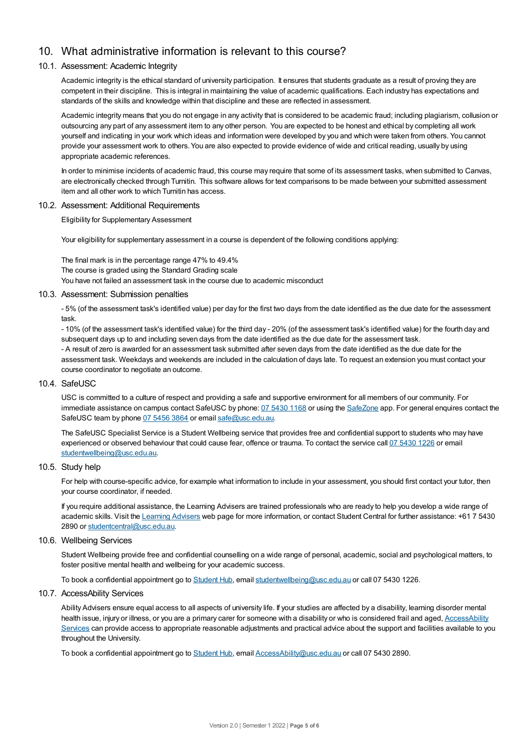# 10. What administrative information is relevant to this course?

## 10.1. Assessment: Academic Integrity

Academic integrity is the ethical standard of university participation. It ensures that students graduate as a result of proving they are competent in their discipline. This is integral in maintaining the value of academic qualifications. Each industry has expectations and standards of the skills and knowledge within that discipline and these are reflected in assessment.

Academic integrity means that you do not engage in any activity that is considered to be academic fraud; including plagiarism, collusion or outsourcing any part of any assessment item to any other person. You are expected to be honest and ethical by completing all work yourself and indicating in your work which ideas and information were developed by you and which were taken from others. You cannot provide your assessment work to others.You are also expected to provide evidence of wide and critical reading, usually by using appropriate academic references.

In order to minimise incidents of academic fraud, this course may require that some of its assessment tasks, when submitted to Canvas, are electronically checked through Turnitin. This software allows for text comparisons to be made between your submitted assessment item and all other work to which Turnitin has access.

#### 10.2. Assessment: Additional Requirements

Eligibility for Supplementary Assessment

Your eligibility for supplementary assessment in a course is dependent of the following conditions applying:

The final mark is in the percentage range 47% to 49.4% The course is graded using the Standard Grading scale You have not failed an assessment task in the course due to academic misconduct

#### 10.3. Assessment: Submission penalties

- 5% (of the assessment task's identified value) per day for the first two days from the date identified as the due date for the assessment task.

- 10% (of the assessment task's identified value) for the third day - 20% (of the assessment task's identified value) for the fourth day and subsequent days up to and including seven days from the date identified as the due date for the assessment task. - A result of zero is awarded for an assessment task submitted after seven days from the date identified as the due date for the assessment task. Weekdays and weekends are included in the calculation of days late. To request an extension you must contact your course coordinator to negotiate an outcome.

#### 10.4. SafeUSC

USC is committed to a culture of respect and providing a safe and supportive environment for all members of our community. For immediate assistance on campus contact SafeUSC by phone: 07 [5430](tel:07%205430%201168) 1168 or using the [SafeZone](https://www.safezoneapp.com) app. For general enquires contact the SafeUSC team by phone 07 [5456](tel:07%205456%203864) 3864 or email [safe@usc.edu.au](mailto:safe@usc.edu.au).

The SafeUSC Specialist Service is a Student Wellbeing service that provides free and confidential support to students who may have experienced or observed behaviour that could cause fear, offence or trauma. To contact the service call 07 [5430](tel:07%205430%201226) 1226 or email [studentwellbeing@usc.edu.au](mailto:studentwellbeing@usc.edu.au).

#### 10.5. Study help

For help with course-specific advice, for example what information to include in your assessment, you should first contact your tutor, then your course coordinator, if needed.

If you require additional assistance, the Learning Advisers are trained professionals who are ready to help you develop a wide range of academic skills. Visit the Learning [Advisers](https://www.usc.edu.au/current-students/student-support/academic-and-study-support/learning-advisers) web page for more information, or contact Student Central for further assistance: +61 7 5430 2890 or [studentcentral@usc.edu.au](mailto:studentcentral@usc.edu.au).

#### 10.6. Wellbeing Services

Student Wellbeing provide free and confidential counselling on a wide range of personal, academic, social and psychological matters, to foster positive mental health and wellbeing for your academic success.

To book a confidential appointment go to [Student](https://studenthub.usc.edu.au/) Hub, email [studentwellbeing@usc.edu.au](mailto:studentwellbeing@usc.edu.au) or call 07 5430 1226.

#### 10.7. AccessAbility Services

Ability Advisers ensure equal access to all aspects of university life. If your studies are affected by a disability, learning disorder mental health issue, injury or illness, or you are a primary carer for someone with a disability or who is considered frail and aged, [AccessAbility](https://www.usc.edu.au/learn/student-support/accessability-services/documentation-requirements) Services can provide access to appropriate reasonable adjustments and practical advice about the support and facilities available to you throughout the University.

To book a confidential appointment go to [Student](https://studenthub.usc.edu.au/) Hub, email [AccessAbility@usc.edu.au](mailto:AccessAbility@usc.edu.au) or call 07 5430 2890.